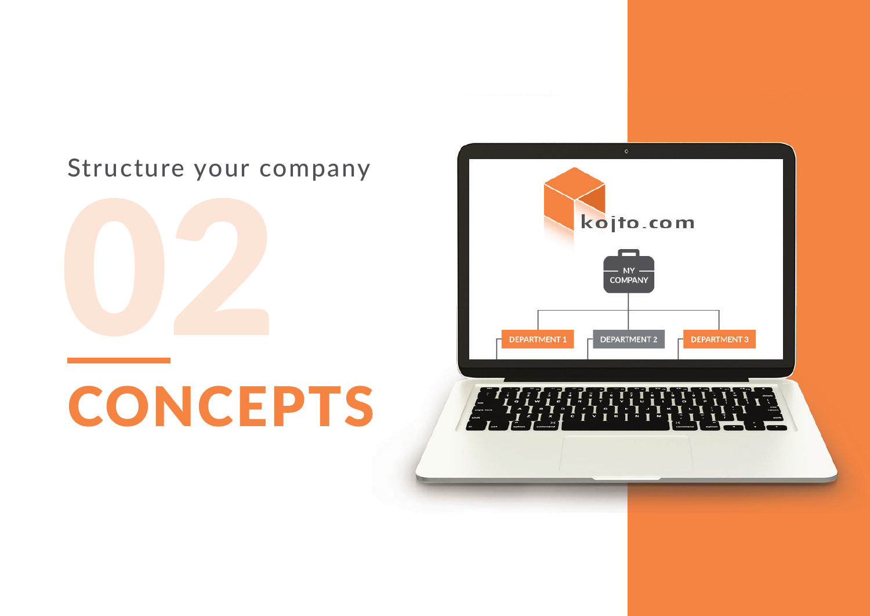#### Structure your company



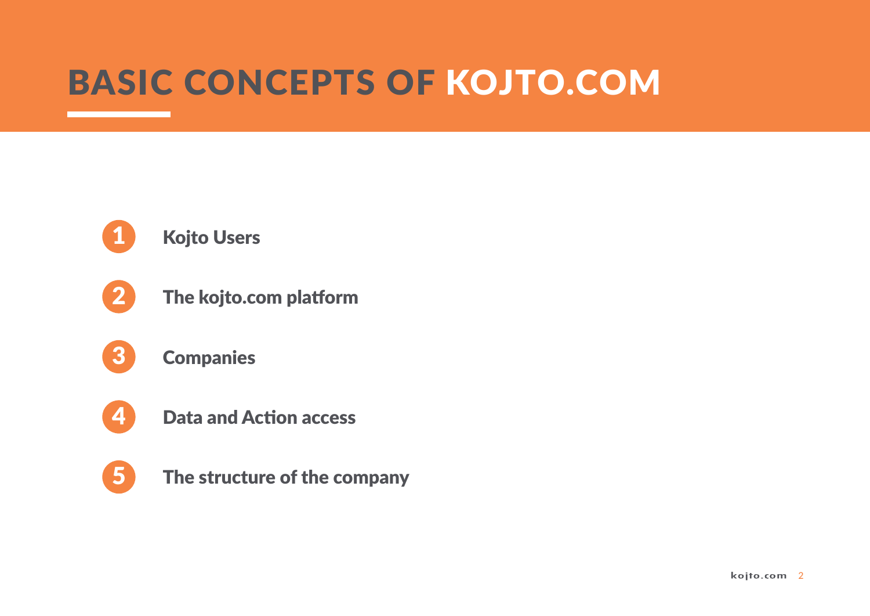#### BASIC CONCEPTS OF KOJTO.COM



- The kojto.com platform
- **Companies** 3
- 4

2

- Data and Action access
- 5

The structure of the company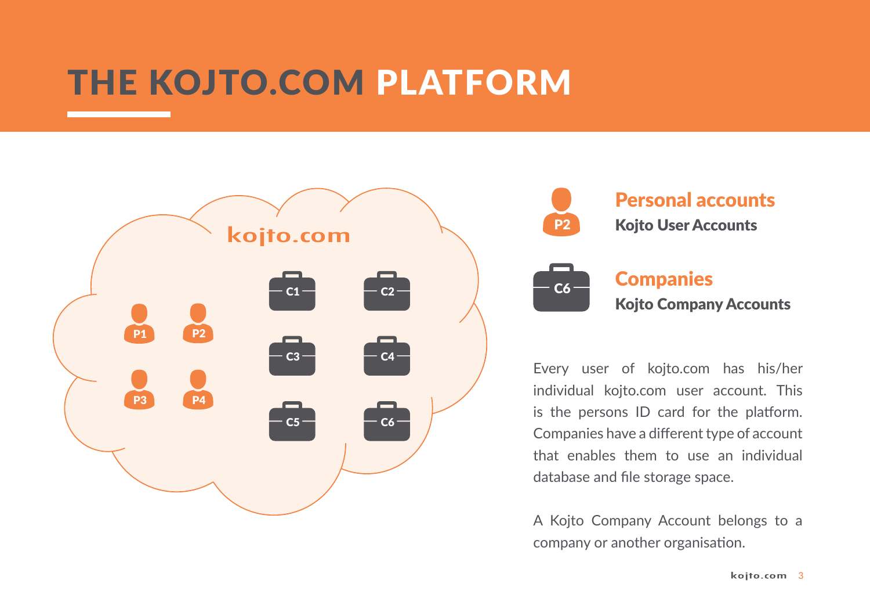### THE KOJTO.COM PLATFORM





Every user of kojto.com has his/her individual kojto.com user account. This is the persons ID card for the platform. Companies have a different type of account that enables them to use an individual database and file storage space.

A Kojto Company Account belongs to a company or another organisation.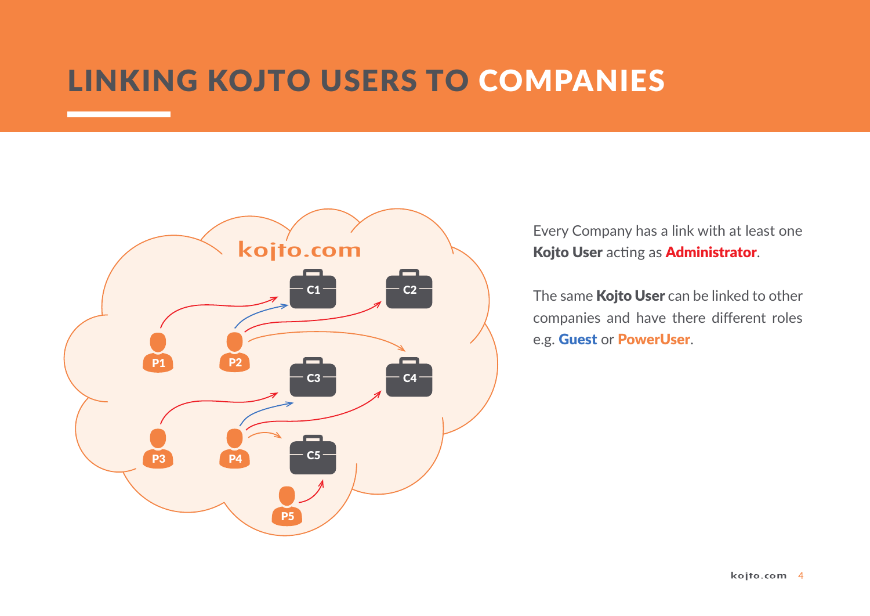#### LINKING KOJTO USERS TO COMPANIES



Every Company has a link with at least one Kojto User acting as Administrator.

The same **Kojto User** can be linked to other companies and have there different roles e.g. Guest or PowerUser.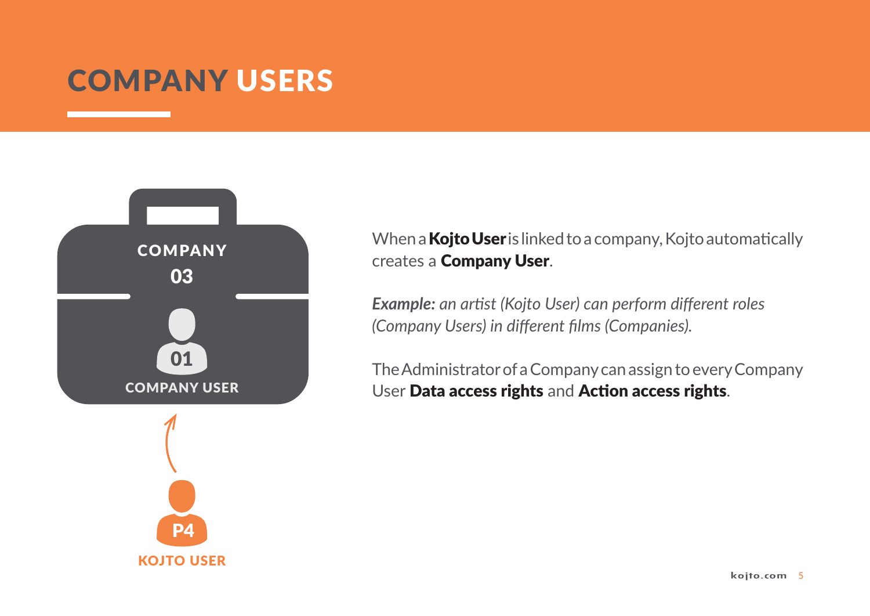#### COMPANY USERS



P4 KOJTO USER When a **Kojto User** is linked to a company, Kojto automatically creates a Company User.

*Example: an artist (Kojto User) can perform different roles (Company Users) in different films (Companies).*

The Administrator of a Company can assign to every Company User Data access rights and Action access rights.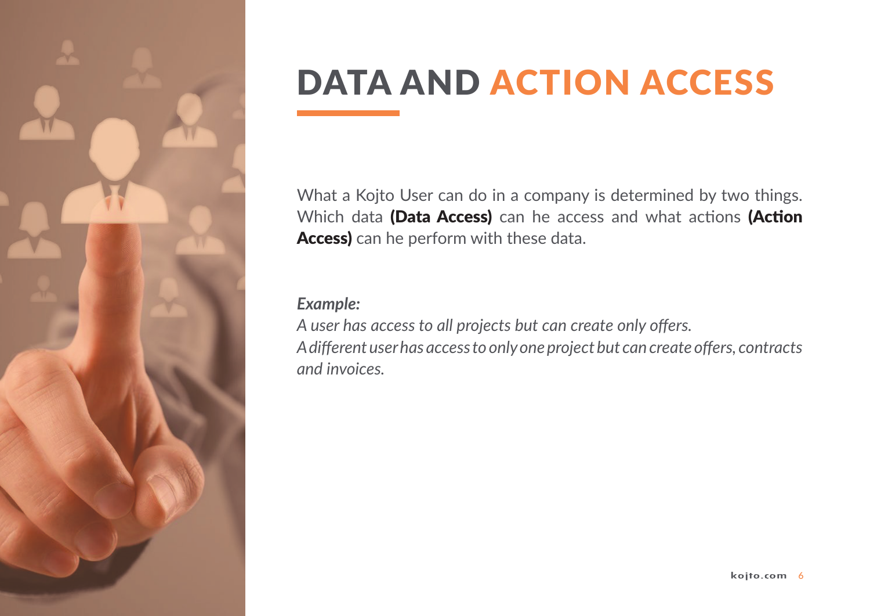

# DATA AND ACTION ACCESS

What a Kojto User can do in a company is determined by two things. Which data (Data Access) can he access and what actions (Action Access) can he perform with these data.

#### *Example:*

A user has access to all projects but can create only offers. A different user has access to only one project but can create offers, contracts *and invoices.*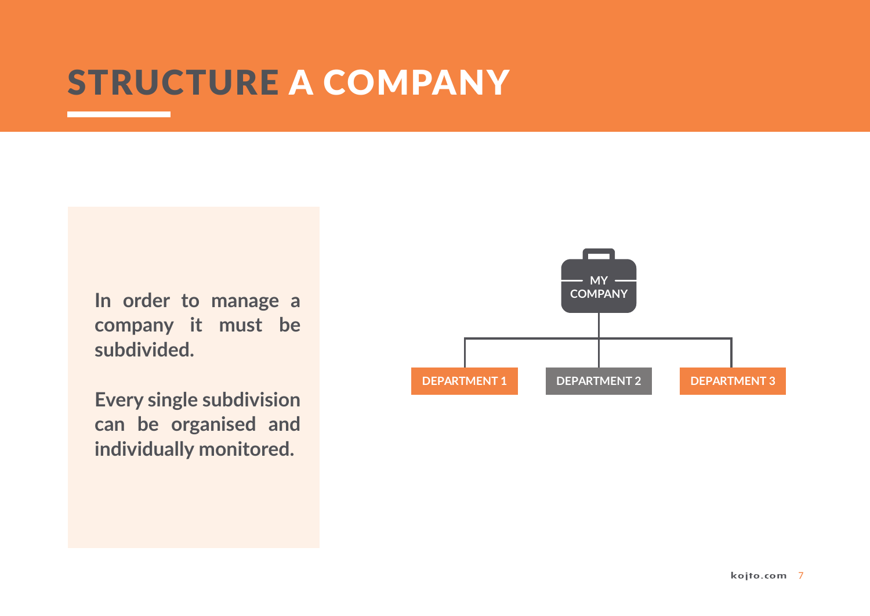#### STRUCTURE A COMPANY

**In order to manage a company it must be subdivided.** 

**Every single subdivision can be organised and individually monitored.**

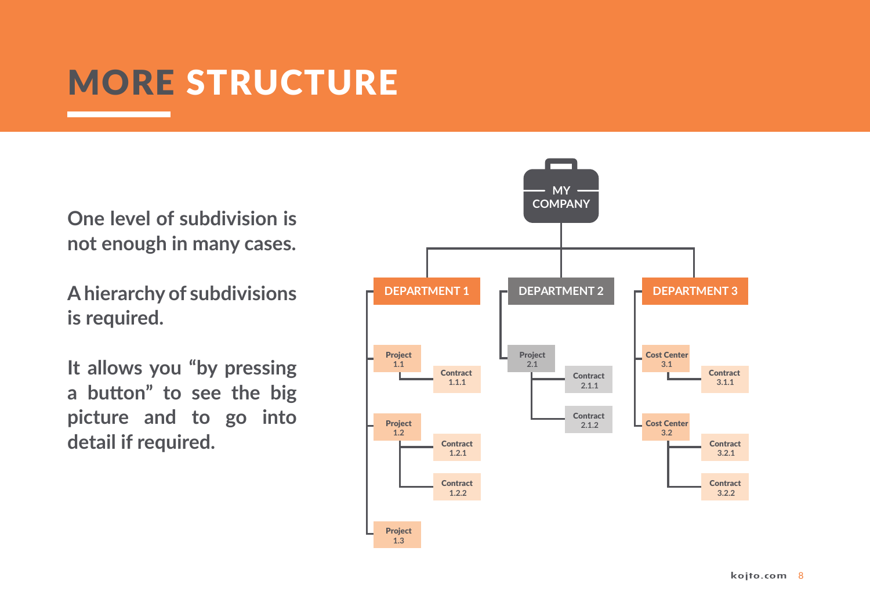## MORE STRUCTURE

**One level of subdivision is not enough in many cases.** 

**A hierarchy of subdivisions is required.**

**It allows you "by pressing a button" to see the big picture and to go into detail if required.**

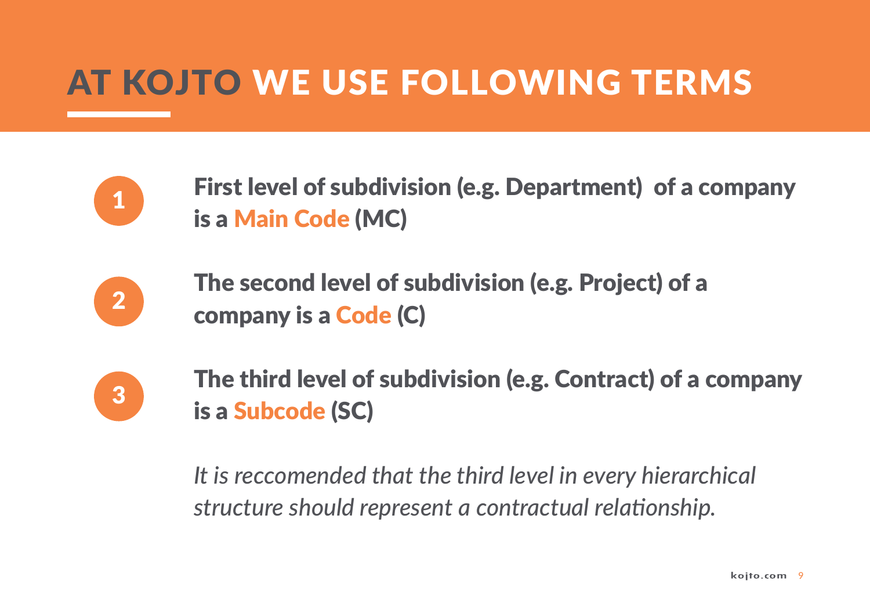## AT KOJTO WE USE FOLLOWING TERMS



First level of subdivision (e.g. Department) of a company is a Main Code (MC)



The second level of subdivision (e.g. Project) of a company is a Code (C)



The third level of subdivision (e.g. Contract) of a company is a Subcode (SC)

*It is reccomended that the third level in every hierarchical structure should represent a contractual relationship.*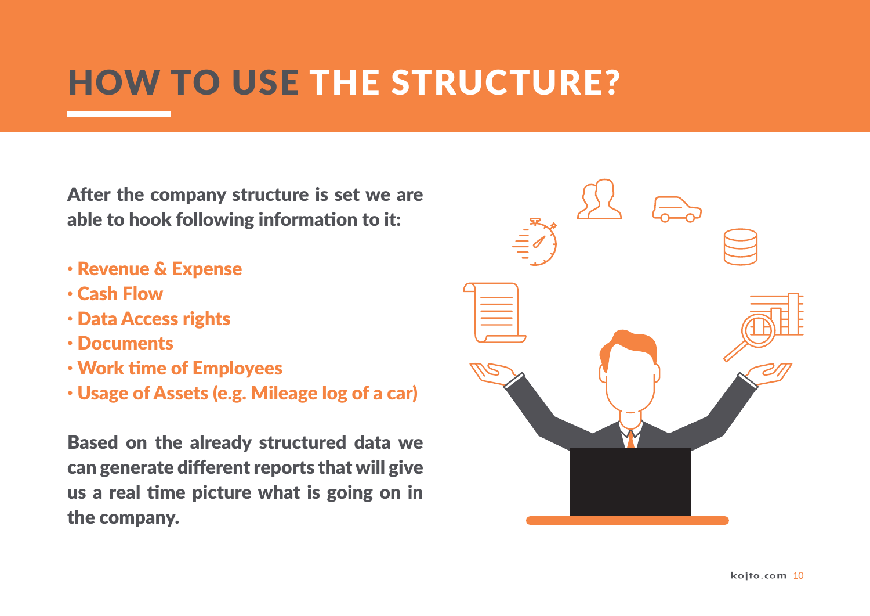## HOW TO USE THE STRUCTURE?

After the company structure is set we are able to hook following information to it:

- · Revenue & Expense
- · Cash Flow
- · Data Access rights
- · Documents
- · Work time of Employees
- · Usage of Assets (e.g. Mileage log of a car)

Based on the already structured data we can generate different reports that will give us a real time picture what is going on in the company.